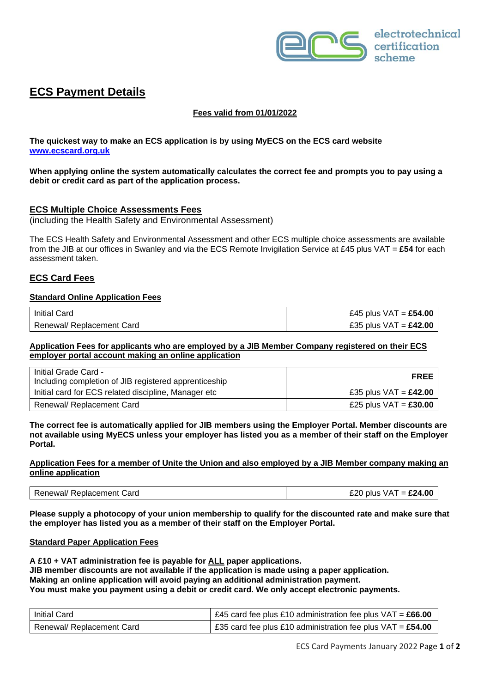

# **ECS Payment Details**

## **Fees valid from 01/01/2022**

**The quickest way to make an ECS application is by using MyECS on the ECS card website [www.ecscard.org.uk](http://www.ecscard.org.uk/)**

**When applying online the system automatically calculates the correct fee and prompts you to pay using a debit or credit card as part of the application process.**

#### **ECS Multiple Choice Assessments Fees**

(including the Health Safety and Environmental Assessment)

The ECS Health Safety and Environmental Assessment and other ECS multiple choice assessments are available from the JIB at our offices in Swanley and via the ECS Remote Invigilation Service at £45 plus VAT = **£54** for each assessment taken.

## **ECS Card Fees**

#### **Standard Online Application Fees**

| <b>Initial Card</b>         | £45 plus $VAT =$ £54.00 |
|-----------------------------|-------------------------|
| l Renewal/ Replacement Card | £35 plus $VAT = £42.00$ |

#### **Application Fees for applicants who are employed by a JIB Member Company registered on their ECS employer portal account making an online application**

| Initial Grade Card -<br>Including completion of JIB registered apprenticeship | <b>FREE</b>             |
|-------------------------------------------------------------------------------|-------------------------|
| Initial card for ECS related discipline, Manager etc                          | £35 plus $VAT = £42.00$ |
| Renewal/ Replacement Card                                                     | £25 plus $VAT = £30.00$ |

#### **The correct fee is automatically applied for JIB members using the Employer Portal. Member discounts are not available using MyECS unless your employer has listed you as a member of their staff on the Employer Portal.**

#### **Application Fees for a member of Unite the Union and also employed by a JIB Member company making an online application**

| ′ Replacement Card<br>Renewal/ | $\mathsf{T} = \pounds 24.00$<br>F2N<br>VA <sup>-</sup><br>plus |
|--------------------------------|----------------------------------------------------------------|
|--------------------------------|----------------------------------------------------------------|

**Please supply a photocopy of your union membership to qualify for the discounted rate and make sure that the employer has listed you as a member of their staff on the Employer Portal.**

#### **Standard Paper Application Fees**

**A £10 + VAT administration fee is payable for ALL paper applications. JIB member discounts are not available if the application is made using a paper application. Making an online application will avoid paying an additional administration payment. You must make you payment using a debit or credit card. We only accept electronic payments.**

| l Initial Card            | E45 card fee plus £10 administration fee plus VAT = £66.00   |
|---------------------------|--------------------------------------------------------------|
| Renewal/ Replacement Card | E35 card fee plus £10 administration fee plus VAT = $£54.00$ |